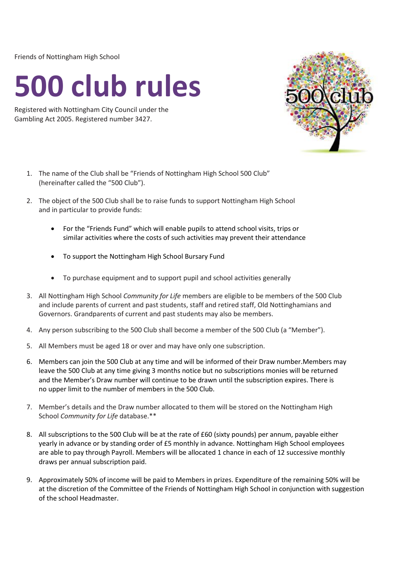Friends of Nottingham High School

## **500 club rules**

Registered with Nottingham City Council under the Gambling Act 2005. Registered number 3427.



- 1. The name of the Club shall be "Friends of Nottingham High School 500 Club" (hereinafter called the "500 Club").
- 2. The object of the 500 Club shall be to raise funds to support Nottingham High School and in particular to provide funds:
	- For the "Friends Fund" which will enable pupils to attend school visits, trips or similar activities where the costs of such activities may prevent their attendance
	- To support the Nottingham High School Bursary Fund
	- To purchase equipment and to support pupil and school activities generally
- 3. All Nottingham High School *Community for Life* members are eligible to be members of the 500 Club and include parents of current and past students, staff and retired staff, Old Nottinghamians and Governors. Grandparents of current and past students may also be members.
- 4. Any person subscribing to the 500 Club shall become a member of the 500 Club (a "Member").
- 5. All Members must be aged 18 or over and may have only one subscription.
- 6. Members can join the 500 Club at any time and will be informed of their Draw number.Members may leave the 500 Club at any time giving 3 months notice but no subscriptions monies will be returned and the Member's Draw number will continue to be drawn until the subscription expires. There is no upper limit to the number of members in the 500 Club.
- 7. Member's details and the Draw number allocated to them will be stored on the Nottingham High School *Community for Life* database.\*\*
- 8. All subscriptions to the 500 Club will be at the rate of £60 (sixty pounds) per annum, payable either yearly in advance or by standing order of £5 monthly in advance. Nottingham High School employees are able to pay through Payroll. Members will be allocated 1 chance in each of 12 successive monthly draws per annual subscription paid.
- 9. Approximately 50% of income will be paid to Members in prizes. Expenditure of the remaining 50% will be at the discretion of the Committee of the Friends of Nottingham High School in conjunction with suggestion of the school Headmaster.